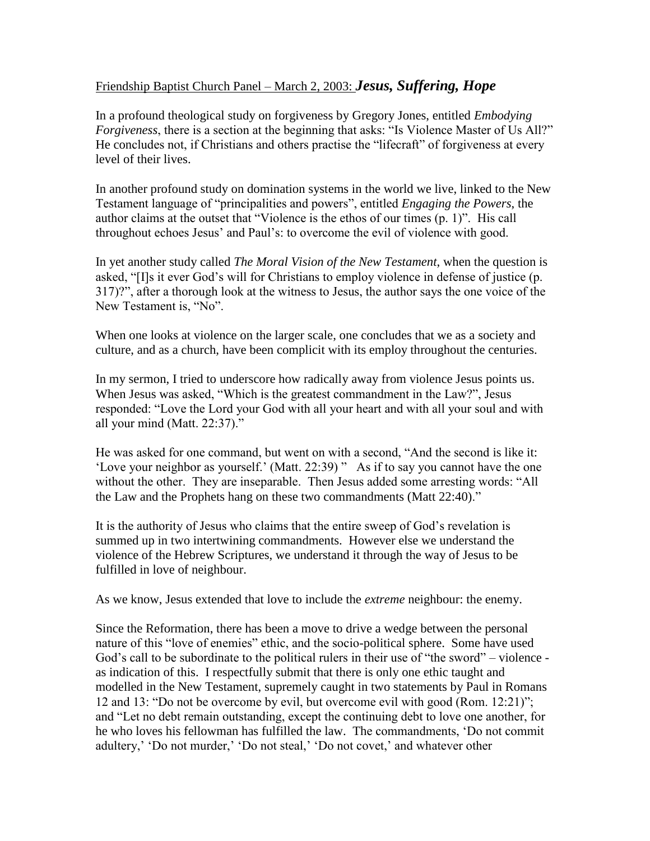## Friendship Baptist Church Panel – March 2, 2003: *Jesus, Suffering, Hope*

In a profound theological study on forgiveness by Gregory Jones, entitled *Embodying Forgiveness*, there is a section at the beginning that asks: "Is Violence Master of Us All?" He concludes not, if Christians and others practise the "lifecraft" of forgiveness at every level of their lives.

In another profound study on domination systems in the world we live, linked to the New Testament language of "principalities and powers", entitled *Engaging the Powers*, the author claims at the outset that "Violence is the ethos of our times (p. 1)". His call throughout echoes Jesus' and Paul's: to overcome the evil of violence with good.

In yet another study called *The Moral Vision of the New Testament*, when the question is asked, "[I]s it ever God's will for Christians to employ violence in defense of justice (p. 317)?", after a thorough look at the witness to Jesus, the author says the one voice of the New Testament is, "No".

When one looks at violence on the larger scale, one concludes that we as a society and culture, and as a church, have been complicit with its employ throughout the centuries.

In my sermon, I tried to underscore how radically away from violence Jesus points us. When Jesus was asked, "Which is the greatest commandment in the Law?", Jesus responded: "Love the Lord your God with all your heart and with all your soul and with all your mind (Matt. 22:37)."

He was asked for one command, but went on with a second, "And the second is like it: 'Love your neighbor as yourself.' (Matt. 22:39) " As if to say you cannot have the one without the other. They are inseparable. Then Jesus added some arresting words: "All the Law and the Prophets hang on these two commandments (Matt 22:40)."

It is the authority of Jesus who claims that the entire sweep of God's revelation is summed up in two intertwining commandments. However else we understand the violence of the Hebrew Scriptures, we understand it through the way of Jesus to be fulfilled in love of neighbour.

As we know, Jesus extended that love to include the *extreme* neighbour: the enemy.

Since the Reformation, there has been a move to drive a wedge between the personal nature of this "love of enemies" ethic, and the socio-political sphere. Some have used God's call to be subordinate to the political rulers in their use of "the sword" – violence as indication of this. I respectfully submit that there is only one ethic taught and modelled in the New Testament, supremely caught in two statements by Paul in Romans 12 and 13: "Do not be overcome by evil, but overcome evil with good (Rom. 12:21)"; and "Let no debt remain outstanding, except the continuing debt to love one another, for he who loves his fellowman has fulfilled the law. The commandments, 'Do not commit adultery,' 'Do not murder,' 'Do not steal,' 'Do not covet,' and whatever other